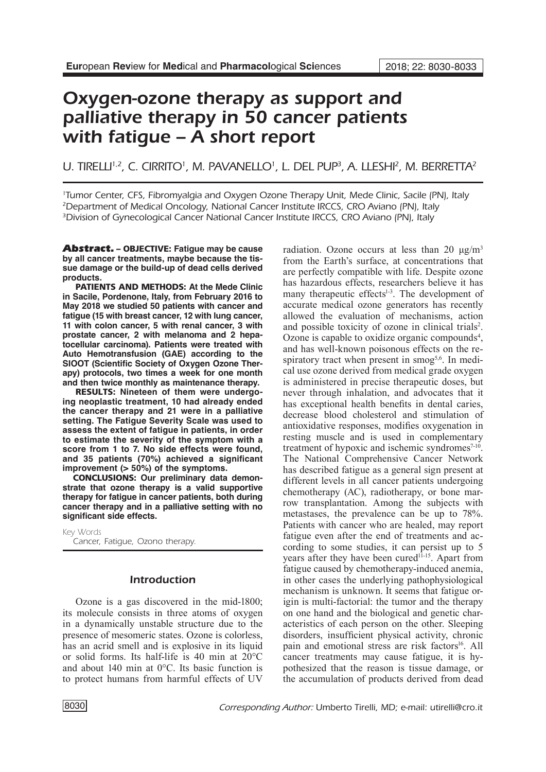# Oxygen-ozone therapy as support and palliative therapy in 50 cancer patients with fatigue – A short report

# U. TIRELLI<sup>1,2</sup>, C. CIRRITO<sup>1</sup>, M. PAVANELLO<sup>1</sup>, L. DEL PUP<sup>3</sup>, A. LLESHI<sup>2</sup>, M. BERRETTA<sup>2</sup>

1 Tumor Center, CFS, Fibromyalgia and Oxygen Ozone Therapy Unit, Mede Clinic, Sacile (PN), Italy 2 Department of Medical Oncology, National Cancer Institute IRCCS, CRO Aviano (PN), Italy <sup>3</sup>Division of Gynecological Cancer National Cancer Institute IRCCS, CRO Aviano (PN), Italy

Abstract. – OBJECTIVE: **Fatigue may be cause by all cancer treatments, maybe because the tissue damage or the build-up of dead cells derived products.** 

PATIENTS AND METHODS: **At the Mede Clinic in Sacile, Pordenone, Italy, from February 2016 to May 2018 we studied 50 patients with cancer and fatigue (15 with breast cancer, 12 with lung cancer, 11 with colon cancer, 5 with renal cancer, 3 with prostate cancer, 2 with melanoma and 2 hepatocellular carcinoma). Patients were treated with Auto Hemotransfusion (GAE) according to the SIOOT (Scientific Society of Oxygen Ozone Therapy) protocols, two times a week for one month and then twice monthly as maintenance therapy.**

RESULTS: **Nineteen of them were undergoing neoplastic treatment, 10 had already ended the cancer therapy and 21 were in a palliative setting. The Fatigue Severity Scale was used to assess the extent of fatigue in patients, in order to estimate the severity of the symptom with a score from 1 to 7. No side effects were found, and 35 patients (70%) achieved a significant improvement (> 50%) of the symptoms.** 

CONCLUSIONS: **Our preliminary data demonstrate that ozone therapy is a valid supportive therapy for fatigue in cancer patients, both during cancer therapy and in a palliative setting with no significant side effects.**

Key Words Cancer, Fatigue, Ozono therapy.

# Introduction

Ozone is a gas discovered in the mid-1800; its molecule consists in three atoms of oxygen in a dynamically unstable structure due to the presence of mesomeric states. Ozone is colorless, has an acrid smell and is explosive in its liquid or solid forms. Its half-life is 40 min at 20°C and about 140 min at 0°C. Its basic function is to protect humans from harmful effects of UV

radiation. Ozone occurs at less than 20  $\mu$ g/m<sup>3</sup> from the Earth's surface, at concentrations that are perfectly compatible with life. Despite ozone has hazardous effects, researchers believe it has many therapeutic effects<sup>1-3</sup>. The development of accurate medical ozone generators has recently allowed the evaluation of mechanisms, action and possible toxicity of ozone in clinical trials<sup>2</sup>. Ozone is capable to oxidize organic compounds<sup>4</sup>, and has well-known poisonous effects on the respiratory tract when present in smog<sup>5,6</sup>. In medical use ozone derived from medical grade oxygen is administered in precise therapeutic doses, but never through inhalation, and advocates that it has exceptional health benefits in dental caries, decrease blood cholesterol and stimulation of antioxidative responses, modifies oxygenation in resting muscle and is used in complementary treatment of hypoxic and ischemic syndromes $7-10$ . The National Comprehensive Cancer Network has described fatigue as a general sign present at different levels in all cancer patients undergoing chemotherapy (AC), radiotherapy, or bone marrow transplantation. Among the subjects with metastases, the prevalence can be up to 78%. Patients with cancer who are healed, may report fatigue even after the end of treatments and according to some studies, it can persist up to 5 vears after they have been cured<sup>11-15</sup>. Apart from fatigue caused by chemotherapy-induced anemia, in other cases the underlying pathophysiological mechanism is unknown. It seems that fatigue origin is multi-factorial: the tumor and the therapy on one hand and the biological and genetic characteristics of each person on the other. Sleeping disorders, insufficient physical activity, chronic pain and emotional stress are risk factors<sup>16</sup>. All cancer treatments may cause fatigue, it is hypothesized that the reason is tissue damage, or the accumulation of products derived from dead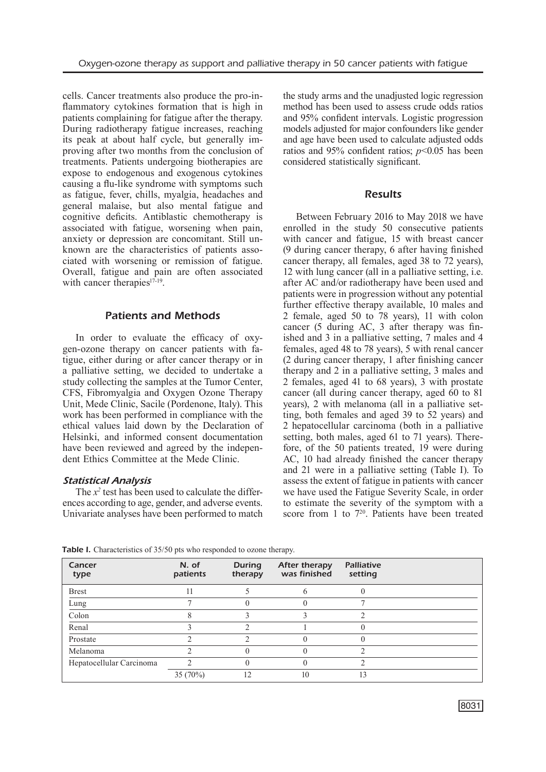cells. Cancer treatments also produce the pro-inflammatory cytokines formation that is high in patients complaining for fatigue after the therapy. During radiotherapy fatigue increases, reaching its peak at about half cycle, but generally improving after two months from the conclusion of treatments. Patients undergoing biotherapies are expose to endogenous and exogenous cytokines causing a flu-like syndrome with symptoms such as fatigue, fever, chills, myalgia, headaches and general malaise, but also mental fatigue and cognitive deficits. Antiblastic chemotherapy is associated with fatigue, worsening when pain, anxiety or depression are concomitant. Still unknown are the characteristics of patients associated with worsening or remission of fatigue. Overall, fatigue and pain are often associated with cancer therapies<sup>17-19</sup>.

### Patients and Methods

In order to evaluate the efficacy of oxygen-ozone therapy on cancer patients with fatigue, either during or after cancer therapy or in a palliative setting, we decided to undertake a study collecting the samples at the Tumor Center, CFS, Fibromyalgia and Oxygen Ozone Therapy Unit, Mede Clinic, Sacile (Pordenone, Italy). This work has been performed in compliance with the ethical values laid down by the Declaration of Helsinki, and informed consent documentation have been reviewed and agreed by the independent Ethics Committee at the Mede Clinic.

### *Statistical Analysis*

The  $x^2$  test has been used to calculate the differences according to age, gender, and adverse events. Univariate analyses have been performed to match the study arms and the unadjusted logic regression method has been used to assess crude odds ratios and 95% confident intervals. Logistic progression models adjusted for major confounders like gender and age have been used to calculate adjusted odds ratios and 95% confident ratios;  $p<0.05$  has been considered statistically significant.

#### **Results**

Between February 2016 to May 2018 we have enrolled in the study 50 consecutive patients with cancer and fatigue, 15 with breast cancer (9 during cancer therapy, 6 after having finished cancer therapy, all females, aged 38 to 72 years), 12 with lung cancer (all in a palliative setting, i.e. after AC and/or radiotherapy have been used and patients were in progression without any potential further effective therapy available, 10 males and 2 female, aged 50 to 78 years), 11 with colon cancer (5 during AC, 3 after therapy was finished and 3 in a palliative setting, 7 males and 4 females, aged 48 to 78 years), 5 with renal cancer (2 during cancer therapy, 1 after finishing cancer therapy and 2 in a palliative setting, 3 males and 2 females, aged 41 to 68 years), 3 with prostate cancer (all during cancer therapy, aged 60 to 81 years), 2 with melanoma (all in a palliative setting, both females and aged 39 to 52 years) and 2 hepatocellular carcinoma (both in a palliative setting, both males, aged 61 to 71 years). Therefore, of the 50 patients treated, 19 were during AC, 10 had already finished the cancer therapy and 21 were in a palliative setting (Table I). To assess the extent of fatigue in patients with cancer we have used the Fatigue Severity Scale, in order to estimate the severity of the symptom with a score from 1 to  $7^{20}$ . Patients have been treated

| Cancer<br>type           | N. of<br>patients | <b>During</b><br>therapy | <b>After therapy</b><br>was finished | <b>Palliative</b><br>setting |  |
|--------------------------|-------------------|--------------------------|--------------------------------------|------------------------------|--|
| <b>Brest</b>             |                   |                          |                                      |                              |  |
| Lung                     |                   |                          |                                      |                              |  |
| Colon                    |                   |                          |                                      |                              |  |
| Renal                    |                   |                          |                                      |                              |  |
| Prostate                 |                   |                          |                                      |                              |  |
| Melanoma                 |                   |                          |                                      |                              |  |
| Hepatocellular Carcinoma |                   |                          |                                      |                              |  |
|                          | $35(70\%)$        | 12                       | 10                                   | 13                           |  |

Table I. Characteristics of 35/50 pts who responded to ozone therapy.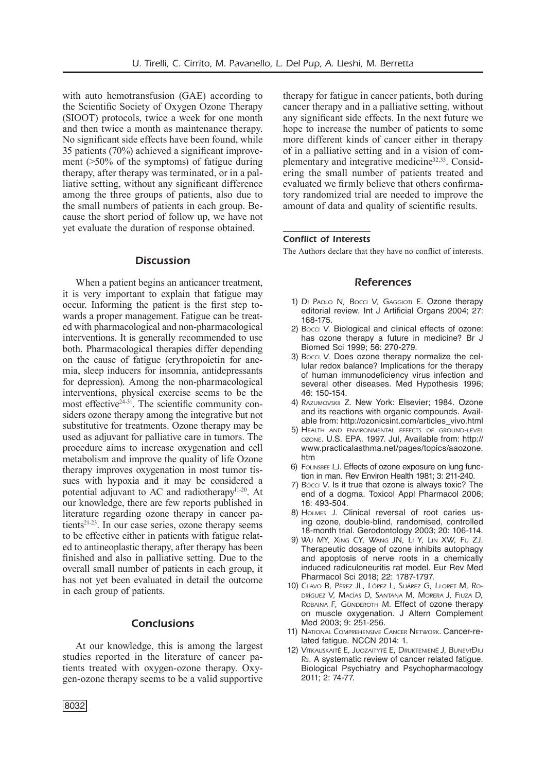with auto hemotransfusion (GAE) according to the Scientific Society of Oxygen Ozone Therapy (SIOOT) protocols, twice a week for one month and then twice a month as maintenance therapy. No significant side effects have been found, while 35 patients (70%) achieved a significant improvement (>50% of the symptoms) of fatigue during therapy, after therapy was terminated, or in a palliative setting, without any significant difference among the three groups of patients, also due to the small numbers of patients in each group. Because the short period of follow up, we have not yet evaluate the duration of response obtained.

#### **Discussion**

When a patient begins an anticancer treatment, it is very important to explain that fatigue may occur. Informing the patient is the first step towards a proper management. Fatigue can be treated with pharmacological and non-pharmacological interventions. It is generally recommended to use both. Pharmacological therapies differ depending on the cause of fatigue (erythropoietin for anemia, sleep inducers for insomnia, antidepressants for depression). Among the non-pharmacological interventions, physical exercise seems to be the most effective $2^{4-31}$ . The scientific community considers [ozone therapy](https://www.austinozone.com) among the integrative but not substitutive for treatments. Ozone therapy may be used as adjuvant for palliative care in tumors. The procedure aims to increase oxygenation and cell metabolism and improve the quality of life Ozone therapy improves oxygenation in most tumor tissues with hypoxia and it may be considered a potential adjuvant to AC and radiotherapy<sup>11-20</sup>. At our knowledge, there are few reports published in literature regarding ozone therapy in cancer patients<sup>21-23</sup>. In our case series, ozone therapy seems to be effective either in patients with fatigue related to antineoplastic therapy, after therapy has been finished and also in palliative setting. Due to the overall small number of patients in each group, it has not yet been evaluated in detail the outcome in each group of patients.

## Conclusions

At our knowledge, this is among the largest studies reported in the literature of cancer patients treated with oxygen-ozone therapy. Oxygen-ozone therapy seems to be a valid supportive therapy for fatigue in cancer patients, both during cancer therapy and in a palliative setting, without any significant side effects. In the next future we hope to increase the number of patients to some more different kinds of cancer either in therapy of in a palliative setting and in a vision of complementary and integrative medicine32,33. Considering the small number of patients treated and evaluated we firmly believe that others confirmatory randomized trial are needed to improve the amount of data and quality of scientific results.

#### Conflict of Interests

The Authors declare that they have no conflict of interests.

#### References

- 1) DI PAOLO N, Bocci V, GAGGIOTI E. Ozone therapy editorial review. Int J Artificial Organs 2004; 27: 168-175.
- 2) Bocci V. Biological and clinical effects of ozone: has ozone therapy a future in medicine? Br J Biomed Sci 1999; 56: 270-279.
- 3) Bocci V. Does ozone therapy normalize the cellular redox balance? Implications for the therapy of human immunodeficiency virus infection and several other diseases. Med Hypothesis 1996; 46: 150-154.
- 4) RAZUMOVSKII Z. New York: Elsevier; 1984. Ozone and its reactions with organic compounds. Available from: http://ozonicsint.com/articles\_vivo.html
- 5) HEALTH AND ENVIRONMENTAL FEFECTS OF GROUND-LEVEL ozone. U.S. EPA. 1997. Jul, Available from: http:// www.practicalasthma.net/pages/topics/aaozone. htm
- 6) FOLINSBEE LJ. Effects of ozone exposure on lung function in man. Rev Environ Health 1981; 3: 211-240.
- 7) Bocci V. Is it true that ozone is always toxic? The end of a dogma. Toxicol Appl Pharmacol 2006; 16: 493-504.
- 8) HOLMES J. Clinical reversal of root caries using ozone, double-blind, randomised, controlled 18-month trial. Gerodontology 2003; 20: 106-114.
- 9) Wu MY, Xing CY, Wang JN, Li Y, Lin XW, Fu ZJ. Therapeutic dosage of ozone inhibits autophagy and apoptosis of nerve roots in a chemically induced radiculoneuritis rat model. Eur Rev Med Pharmacol Sci 2018; 22: 1787-1797.
- 10) Clavo B, Pérez JL, López L, Suárez G, Lloret M, Rodríguez V, Macías D, Santana M, Morera J, Fiuza D, ROBAINA F, GÜNDEROTH M. Effect of ozone therapy on muscle oxygenation. J Altern Complement Med 2003; 9: 251-256.
- 11) National Comprehensive Cancer Network. Cancer-related fatigue. NCCN 2014: 1.
- 12) VITKAUSKAITĖ E, JUOZAITYTĖ E, DRUKTENIENĖ J, BUNEVIĐIU Rs. A systematic review of cancer related fatigue. Biological Psychiatry and Psychopharmacology 2011; 2: 74-77.